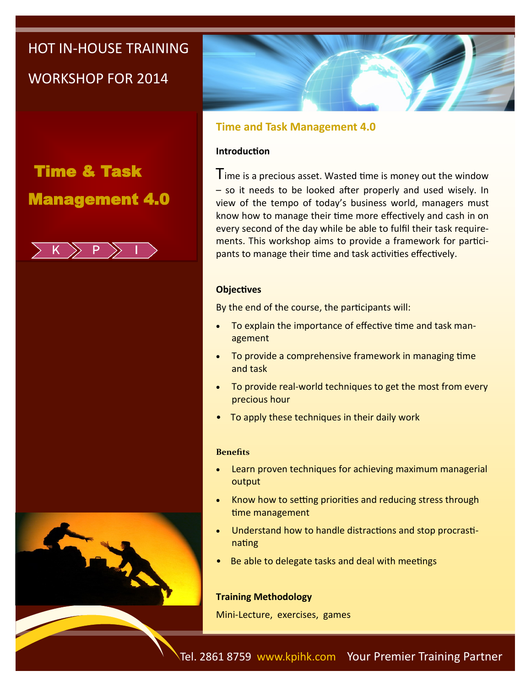# HOT IN-HOUSE TRAINING

WORKSHOP FOR 2014

# Time & Task Management 4.0







### **Time and Task Management 4.0**

### **Introduction**

Time is a precious asset. Wasted time is money out the window – so it needs to be looked after properly and used wisely. In view of the tempo of today's business world, managers must know how to manage their time more effectively and cash in on every second of the day while be able to fulfil their task requirements. This workshop aims to provide a framework for participants to manage their time and task activities effectively.

### **Objectives**

By the end of the course, the participants will:

- To explain the importance of effective time and task management
- To provide a comprehensive framework in managing time and task
- To provide real-world techniques to get the most from every precious hour
- To apply these techniques in their daily work

### **Benefits**

- Learn proven techniques for achieving maximum managerial output
- Know how to setting priorities and reducing stress through time management
- Understand how to handle distractions and stop procrastinating
- Be able to delegate tasks and deal with meetings

### **Training Methodology**

Mini-Lecture, exercises, games